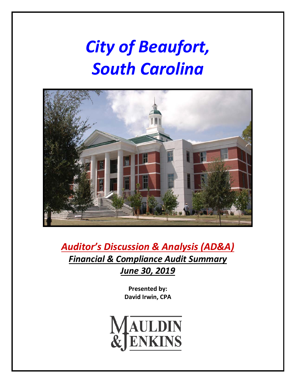# *City of Beaufort, South Carolina*



*Auditor's Discussion & Analysis (AD&A) Financial & Compliance Audit Summary June 30, 2019*

> **Presented by: David Irwin, CPA**

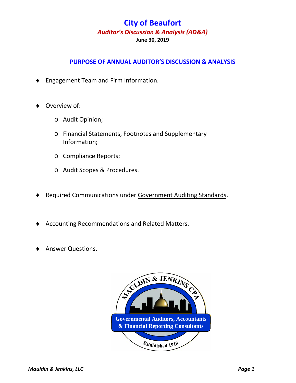## **PURPOSE OF ANNUAL AUDITOR'S DISCUSSION & ANALYSIS**

- ♦ Engagement Team and Firm Information.
- Overview of:
	- o Audit Opinion;
	- o Financial Statements, Footnotes and Supplementary Information;
	- o Compliance Reports;
	- o Audit Scopes & Procedures.
- Required Communications under Government Auditing Standards.
- ♦ Accounting Recommendations and Related Matters.
- ♦ Answer Questions.

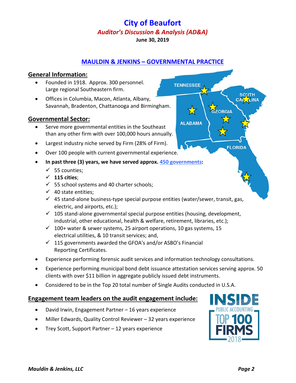## **MAULDIN & JENKINS – GOVERNMENTAL PRACTICE**

**TENNESSEE** 

**ALABAMA** 

#### **General Information:**

- Founded in 1918. Approx. 300 personnel. Large regional Southeastern firm.
- Offices in Columbia, Macon, Atlanta, Albany, Savannah, Bradenton, Chattanooga and Birmingham.

#### **Governmental Sector:**

- Serve more governmental entities in the Southeast than any other firm with over 100,000 hours annually.
- Largest industry niche served by Firm (28% of Firm).
- Over 100 people with current governmental experience.
- **In past three (3) years, we have served approx. 450 governments:** 
	- $\checkmark$  55 counties;
	- $\checkmark$  115 cities;
	- $\checkmark$  55 school systems and 40 charter schools;
	- $\checkmark$  40 state entities;
	- $\checkmark$  45 stand-alone business-type special purpose entities (water/sewer, transit, gas, electric, and airports, etc.);
	- $\checkmark$  105 stand-alone governmental special purpose entities (housing, development, industrial, other educational, health & welfare, retirement, libraries, etc.);
	- $\checkmark$  100+ water & sewer systems, 25 airport operations, 10 gas systems, 15 electrical utilities, & 10 transit services; and,
	- $\checkmark$  115 governments awarded the GFOA's and/or ASBO's Financial Reporting Certificates.
- Experience performing forensic audit services and information technology consultations.
- Experience performing municipal bond debt issuance attestation services serving approx. 50 clients with over \$11 billion in aggregate publicly issued debt instruments.
- Considered to be in the Top 20 total number of Single Audits conducted in U.S.A.

## **Engagement team leaders on the audit engagement include:**

- David Irwin, Engagement Partner 16 years experience
- Miller Edwards, Quality Control Reviewer 32 years experience
- Trey Scott, Support Partner 12 years experience



**SOUTH** CAR TINA

ORGIA

**FLORIDA**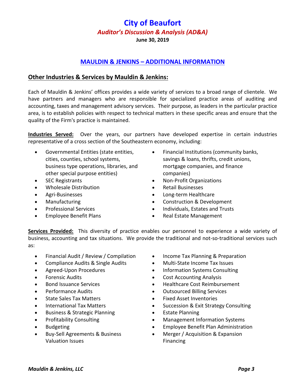# **MAULDIN & JENKINS – ADDITIONAL INFORMATION**

## **Other Industries & Services by Mauldin & Jenkins:**

Each of Mauldin & Jenkins' offices provides a wide variety of services to a broad range of clientele. We have partners and managers who are responsible for specialized practice areas of auditing and accounting, taxes and management advisory services. Their purpose, as leaders in the particular practice area, is to establish policies with respect to technical matters in these specific areas and ensure that the quality of the Firm's practice is maintained.

**Industries Served:** Over the years, our partners have developed expertise in certain industries representative of a cross section of the Southeastern economy, including:

- Governmental Entities (state entities, cities, counties, school systems, business type operations, libraries, and other special purpose entities)
- SEC Registrants
- Wholesale Distribution
- Agri-Businesses
- Manufacturing
- Professional Services
- Employee Benefit Plans
- Financial Institutions (community banks, savings & loans, thrifts, credit unions, mortgage companies, and finance companies)
- Non-Profit Organizations
- Retail Businesses
- Long-term Healthcare
- Construction & Development
- Individuals, Estates and Trusts
- Real Estate Management

**Services Provided:** This diversity of practice enables our personnel to experience a wide variety of business, accounting and tax situations. We provide the traditional and not-so-traditional services such as:

- Financial Audit / Review / Compilation
- Compliance Audits & Single Audits
- Agreed-Upon Procedures
- Forensic Audits
- Bond Issuance Services
- Performance Audits
- State Sales Tax Matters
- International Tax Matters
- Business & Strategic Planning
- Profitability Consulting
- Budgeting
- Buy-Sell Agreements & Business Valuation Issues
- Income Tax Planning & Preparation
- Multi-State Income Tax Issues
- Information Systems Consulting
- Cost Accounting Analysis
- Healthcare Cost Reimbursement
- Outsourced Billing Services
- Fixed Asset Inventories
- Succession & Exit Strategy Consulting
- **Estate Planning**
- Management Information Systems
- Employee Benefit Plan Administration
- Merger / Acquisition & Expansion Financing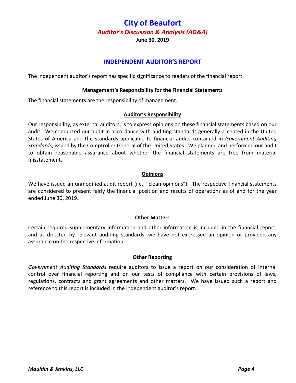## **INDEPENDENT AUDITOR'S REPORT**

The independent auditor's report has specific significance to readers of the financial report.

#### **Management's Responsibility for the Financial Statements**

The financial statements are the responsibility of management.

#### **Auditor's Responsibility**

Our responsibility, as external auditors, is to express opinions on these financial statements based on our audit. We conducted our audit in accordance with auditing standards generally accepted in the United States of America and the standards applicable to financial audits contained in *Government Auditing Standards*, issued by the Comptroller General of the United States. We planned and performed our audit to obtain reasonable assurance about whether the financial statements are free from material misstatement.

#### **Opinions**

We have issued an unmodified audit report (i.e., "clean opinions"). The respective financial statements are considered to present fairly the financial position and results of operations as of and for the year ended June 30, 2019.

#### **Other Matters**

Certain required supplementary information and other information is included in the financial report, and as directed by relevant auditing standards, we have not expressed an opinion or provided any assurance on the respective information.

#### **Other Reporting**

*Government Auditing Standards* require auditors to issue a report on our consideration of internal control over financial reporting and on our tests of compliance with certain provisions of laws, regulations, contracts and grant agreements and other matters. We have issued such a report and reference to this report is included in the independent auditor's report.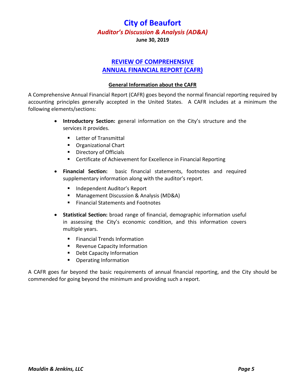## **REVIEW OF COMPREHENSIVE ANNUAL FINANCIAL REPORT (CAFR)**

# **General Information about the CAFR**

A Comprehensive Annual Financial Report (CAFR) goes beyond the normal financial reporting required by accounting principles generally accepted in the United States. A CAFR includes at a minimum the following elements/sections:

- **Introductory Section:** general information on the City's structure and the services it provides.
	- **Letter of Transmittal**
	- Organizational Chart
	- **Directory of Officials**
	- Certificate of Achievement for Excellence in Financial Reporting
- **Financial Section:** basic financial statements, footnotes and required supplementary information along with the auditor's report.
	- **Independent Auditor's Report**
	- Management Discussion & Analysis (MD&A)
	- Financial Statements and Footnotes
- **Statistical Section:** broad range of financial, demographic information useful in assessing the City's economic condition, and this information covers multiple years.
	- **Financial Trends Information**
	- **Revenue Capacity Information**
	- **Debt Capacity Information**
	- **•** Operating Information

A CAFR goes far beyond the basic requirements of annual financial reporting, and the City should be commended for going beyond the minimum and providing such a report.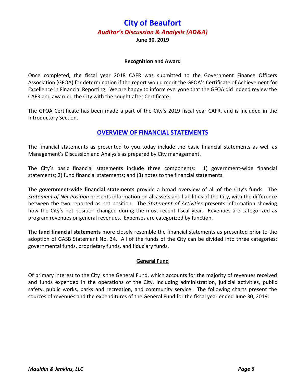**June 30, 2019**

#### **Recognition and Award**

Once completed, the fiscal year 2018 CAFR was submitted to the Government Finance Officers Association (GFOA) for determination if the report would merit the GFOA's Certificate of Achievement for Excellence in Financial Reporting. We are happy to inform everyone that the GFOA did indeed review the CAFR and awarded the City with the sought after Certificate.

The GFOA Certificate has been made a part of the City's 2019 fiscal year CAFR, and is included in the Introductory Section.

### **OVERVIEW OF FINANCIAL STATEMENTS**

The financial statements as presented to you today include the basic financial statements as well as Management's Discussion and Analysis as prepared by City management.

The City's basic financial statements include three components: 1) government-wide financial statements; 2) fund financial statements; and (3) notes to the financial statements.

The **government-wide financial statements** provide a broad overview of all of the City's funds. The *Statement of Net Position* presents information on all assets and liabilities of the City, with the difference between the two reported as net position. The *Statement of Activities* presents information showing how the City's net position changed during the most recent fiscal year. Revenues are categorized as program revenues or general revenues. Expenses are categorized by function.

The **fund financial statements** more closely resemble the financial statements as presented prior to the adoption of GASB Statement No. 34. All of the funds of the City can be divided into three categories: governmental funds, proprietary funds, and fiduciary funds.

#### **General Fund**

Of primary interest to the City is the General Fund, which accounts for the majority of revenues received and funds expended in the operations of the City, including administration, judicial activities, public safety, public works, parks and recreation, and community service. The following charts present the sources of revenues and the expenditures of the General Fund for the fiscal year ended June 30, 2019: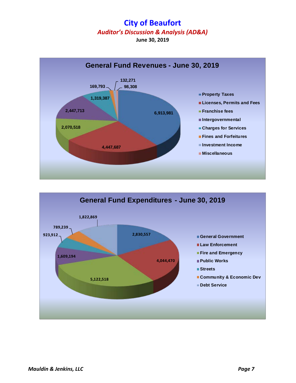

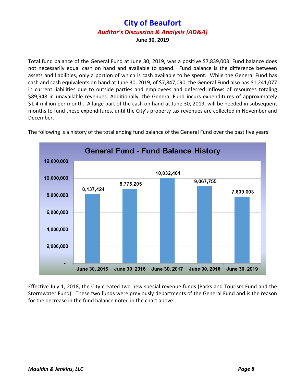Total fund balance of the General Fund at June 30, 2019, was a positive \$7,839,003. Fund balance does not necessarily equal cash on hand and available to spend. Fund balance is the difference between assets and liabilities, only a portion of which is cash available to be spent. While the General Fund has cash and cash equivalents on hand at June 30, 2019, of \$7,847,090, the General Fund also has \$1,241,077 in current liabilities due to outside parties and employees and deferred inflows of resources totaling \$89,948 in unavailable revenues. Additionally, the General Fund incurs expenditures of approximately \$1.4 million per month. A large part of the cash on hand at June 30, 2019, will be needed in subsequent months to fund these expenditures, until the City's property tax revenues are collected in November and December.



The following is a history of the total ending fund balance of the General Fund over the past five years:

Effective July 1, 2018, the City created two new special revenue funds (Parks and Tourism Fund and the Stormwater Fund). These two funds were previously departments of the General Fund and is the reason for the decrease in the fund balance noted in the chart above.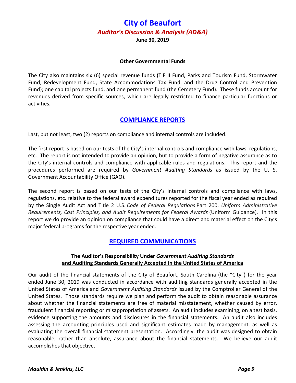## **Other Governmental Funds**

The City also maintains six (6) special revenue funds (TIF II Fund, Parks and Tourism Fund, Stormwater Fund, Redevelopment Fund, State Accommodations Tax Fund, and the Drug Control and Prevention Fund); one capital projects fund, and one permanent fund (the Cemetery Fund). These funds account for revenues derived from specific sources, which are legally restricted to finance particular functions or activities.

### **COMPLIANCE REPORTS**

Last, but not least, two (2) reports on compliance and internal controls are included.

The first report is based on our tests of the City's internal controls and compliance with laws, regulations, etc. The report is not intended to provide an opinion, but to provide a form of negative assurance as to the City's internal controls and compliance with applicable rules and regulations. This report and the procedures performed are required by *Government Auditing Standards* as issued by the U. S. Government Accountability Office (GAO).

The second report is based on our tests of the City's internal controls and compliance with laws, regulations, etc. relative to the federal award expenditures reported for the fiscal year ended as required by the Single Audit Act and Title 2 U.S. *Code of Federal Regulations* Part 200, *Uniform Administrative Requirements, Cost Principles, and Audit Requirements for Federal Awards* (Uniform Guidance). In this report we do provide an opinion on compliance that could have a direct and material effect on the City's major federal programs for the respective year ended.

## **REQUIRED COMMUNICATIONS**

#### **The Auditor's Responsibility Under** *Government Auditing Standards* **and Auditing Standards Generally Accepted in the United States of America**

Our audit of the financial statements of the City of Beaufort, South Carolina (the "City") for the year ended June 30, 2019 was conducted in accordance with auditing standards generally accepted in the United States of America and *Government Auditing Standards* issued by the Comptroller General of the United States. Those standards require we plan and perform the audit to obtain reasonable assurance about whether the financial statements are free of material misstatement, whether caused by error, fraudulent financial reporting or misappropriation of assets. An audit includes examining, on a test basis, evidence supporting the amounts and disclosures in the financial statements. An audit also includes assessing the accounting principles used and significant estimates made by management, as well as evaluating the overall financial statement presentation. Accordingly, the audit was designed to obtain reasonable, rather than absolute, assurance about the financial statements. We believe our audit accomplishes that objective.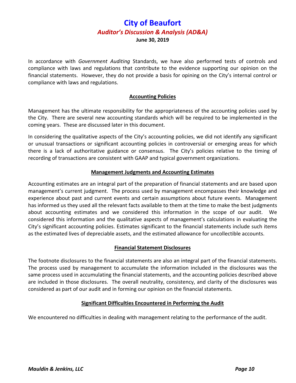In accordance with *Government Auditing* Standards, we have also performed tests of controls and compliance with laws and regulations that contribute to the evidence supporting our opinion on the financial statements. However, they do not provide a basis for opining on the City's internal control or compliance with laws and regulations.

#### **Accounting Policies**

Management has the ultimate responsibility for the appropriateness of the accounting policies used by the City. There are several new accounting standards which will be required to be implemented in the coming years. These are discussed later in this document.

In considering the qualitative aspects of the City's accounting policies, we did not identify any significant or unusual transactions or significant accounting policies in controversial or emerging areas for which there is a lack of authoritative guidance or consensus. The City's policies relative to the timing of recording of transactions are consistent with GAAP and typical government organizations.

#### **Management Judgments and Accounting Estimates**

Accounting estimates are an integral part of the preparation of financial statements and are based upon management's current judgment. The process used by management encompasses their knowledge and experience about past and current events and certain assumptions about future events. Management has informed us they used all the relevant facts available to them at the time to make the best judgments about accounting estimates and we considered this information in the scope of our audit. We considered this information and the qualitative aspects of management's calculations in evaluating the City's significant accounting policies. Estimates significant to the financial statements include such items as the estimated lives of depreciable assets, and the estimated allowance for uncollectible accounts.

#### **Financial Statement Disclosures**

The footnote disclosures to the financial statements are also an integral part of the financial statements. The process used by management to accumulate the information included in the disclosures was the same process used in accumulating the financial statements, and the accounting policies described above are included in those disclosures. The overall neutrality, consistency, and clarity of the disclosures was considered as part of our audit and in forming our opinion on the financial statements.

#### **Significant Difficulties Encountered in Performing the Audit**

We encountered no difficulties in dealing with management relating to the performance of the audit.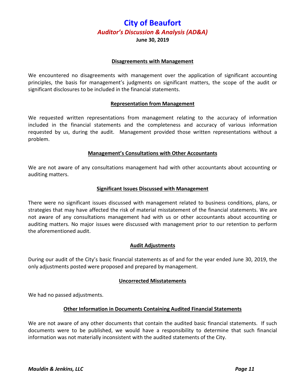**June 30, 2019**

#### **Disagreements with Management**

We encountered no disagreements with management over the application of significant accounting principles, the basis for management's judgments on significant matters, the scope of the audit or significant disclosures to be included in the financial statements.

#### **Representation from Management**

We requested written representations from management relating to the accuracy of information included in the financial statements and the completeness and accuracy of various information requested by us, during the audit. Management provided those written representations without a problem.

#### **Management's Consultations with Other Accountants**

We are not aware of any consultations management had with other accountants about accounting or auditing matters.

#### **Significant Issues Discussed with Management**

There were no significant issues discussed with management related to business conditions, plans, or strategies that may have affected the risk of material misstatement of the financial statements. We are not aware of any consultations management had with us or other accountants about accounting or auditing matters. No major issues were discussed with management prior to our retention to perform the aforementioned audit.

#### **Audit Adjustments**

During our audit of the City's basic financial statements as of and for the year ended June 30, 2019, the only adjustments posted were proposed and prepared by management.

#### **Uncorrected Misstatements**

We had no passed adjustments.

#### **Other Information in Documents Containing Audited Financial Statements**

We are not aware of any other documents that contain the audited basic financial statements. If such documents were to be published, we would have a responsibility to determine that such financial information was not materially inconsistent with the audited statements of the City.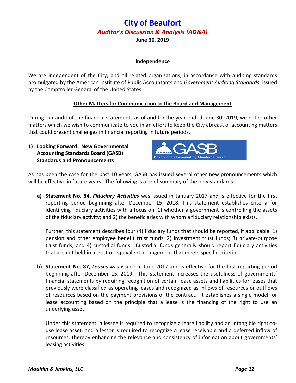#### **Independence**

We are independent of the City, and all related organizations, in accordance with auditing standards promulgated by the American Institute of Public Accountants and *Government Auditing Standards*, issued by the Comptroller General of the United States.

#### **Other Matters for Communication to the Board and Management**

During our audit of the financial statements as of and for the year ended June 30, 2019, we noted other matters which we wish to communicate to you in an effort to keep the City abreast of accounting matters that could present challenges in financial reporting in future periods.

**1) Looking Forward: New Governmental Accounting Standards Board (GASB) Standards and Pronouncements**



As has been the case for the past 10 years, GASB has issued several other new pronouncements which will be effective in future years. The following is a brief summary of the new standards:

**a) Statement No. 84,** *Fiduciary Activities* was issued in January 2017 and is effective for the first reporting period beginning after December 15, 2018. This statement establishes criteria for identifying fiduciary activities with a focus on: 1) whether a government is controlling the assets of the fiduciary activity; and 2) the beneficiaries with whom a fiduciary relationship exists.

Further, this statement describes four (4) fiduciary funds that should be reported, if applicable: 1) pension and other employee benefit trust funds; 2) investment trust funds; 3) private-purpose trust funds; and 4) custodial funds. Custodial funds generally should report fiduciary activities that are not held in a trust or equivalent arrangement that meets specific criteria.

**b) Statement No. 87,** *Leases* was issued in June 2017 and is effective for the first reporting period beginning after December 15, 2019. This statement increases the usefulness of governments' financial statements by requiring recognition of certain lease assets and liabilities for leases that previously were classified as operating leases and recognized as inflows of resources or outflows of resources based on the payment provisions of the contract. It establishes a single model for lease accounting based on the principle that a lease is the financing of the right to use an underlying asset.

Under this statement, a lessee is required to recognize a lease liability and an intangible right-touse lease asset, and a lessor is required to recognize a lease receivable and a deferred inflow of resources, thereby enhancing the relevance and consistency of information about governments' leasing activities.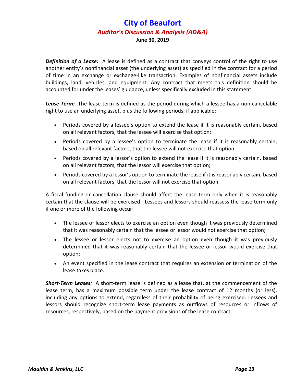**Definition of a Lease:** A lease is defined as a contract that conveys control of the right to use another entity's nonfinancial asset (the underlying asset) as specified in the contract for a period of time in an exchange or exchange-like transaction. Examples of nonfinancial assets include buildings, land, vehicles, and equipment. Any contract that meets this definition should be accounted for under the leases' guidance, unless specifically excluded in this statement.

Lease Term: The lease term is defined as the period during which a lessee has a non-cancelable right to use an underlying asset, plus the following periods, if applicable:

- Periods covered by a lessee's option to extend the lease if it is reasonably certain, based on all relevant factors, that the lessee will exercise that option;
- Periods covered by a lessee's option to terminate the lease if it is reasonably certain, based on all relevant factors, that the lessee will not exercise that option;
- Periods covered by a lessor's option to extend the lease if it is reasonably certain, based on all relevant factors, that the lessor will exercise that option;
- Periods covered by a lessor's option to terminate the lease if it is reasonably certain, based on all relevant factors, that the lessor will not exercise that option.

A fiscal funding or cancellation clause should affect the lease term only when it is reasonably certain that the clause will be exercised. Lessees and lessors should reassess the lease term only if one or more of the following occur:

- The lessee or lessor elects to exercise an option even though it was previously determined that it was reasonably certain that the lessee or lessor would not exercise that option;
- The lessee or lessor elects not to exercise an option even though it was previously determined that it was reasonably certain that the lessee or lessor would exercise that option;
- An event specified in the lease contract that requires an extension or termination of the lease takes place.

*Short-Term Leases:* A short-term lease is defined as a lease that, at the commencement of the lease term, has a maximum possible term under the lease contract of 12 months (or less), including any options to extend, regardless of their probability of being exercised. Lessees and lessors should recognize short-term lease payments as outflows of resources or inflows of resources, respectively, based on the payment provisions of the lease contract.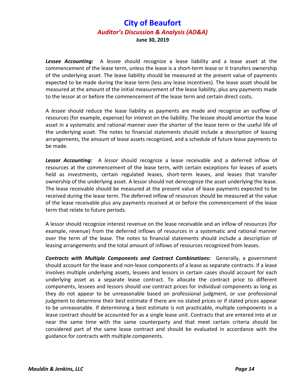*Lessee Accounting:* A *lessee* should recognize a lease liability and a lease asset at the commencement of the lease term, unless the lease is a short-term lease or it transfers ownership of the underlying asset. The lease liability should be measured at the present value of payments expected to be made during the lease term (less any lease incentives). The lease asset should be measured at the amount of the initial measurement of the lease liability, plus any payments made to the lessor at or before the commencement of the lease term and certain direct costs.

A *lessee* should reduce the lease liability as payments are made and recognize an outflow of resources (for example, expense) for interest on the liability. The lessee should amortize the lease asset in a systematic and rational manner over the shorter of the lease term or the useful life of the underlying asset. The notes to financial statements should include a description of leasing arrangements, the amount of lease assets recognized, and a schedule of future lease payments to be made.

*Lessor Accounting:* A *lessor* should recognize a lease receivable and a deferred inflow of resources at the commencement of the lease term, with certain exceptions for leases of assets held as investments, certain regulated leases, short-term leases, and leases that transfer ownership of the underlying asset. A lessor should not derecognize the asset underlying the lease. The lease receivable should be measured at the present value of lease payments expected to be received during the lease term. The deferred inflow of resources should be measured at the value of the lease receivable plus any payments received at or before the commencement of the lease term that relate to future periods.

A lessor should recognize interest revenue on the lease receivable and an inflow of resources (for example, revenue) from the deferred inflows of resources in a systematic and rational manner over the term of the lease. The notes to financial statements should include a description of leasing arrangements and the total amount of inflows of resources recognized from leases.

**Contracts with Multiple Components and Contract Combinations:** Generally, a government should account for the lease and non-lease components of a lease as separate contracts. If a lease involves multiple underlying assets, lessees and lessors in certain cases should account for each underlying asset as a separate lease contract. To allocate the contract price to different components, lessees and lessors should use contract prices for individual components as long as they do not appear to be unreasonable based on professional judgment, or use professional judgment to determine their best estimate if there are no stated prices or if stated prices appear to be unreasonable. If determining a best estimate is not practicable, multiple components in a lease contract should be accounted for as a single lease unit. Contracts that are entered into at or near the same time with the same counterparty and that meet certain criteria should be considered part of the same lease contract and should be evaluated in accordance with the guidance for contracts with multiple components.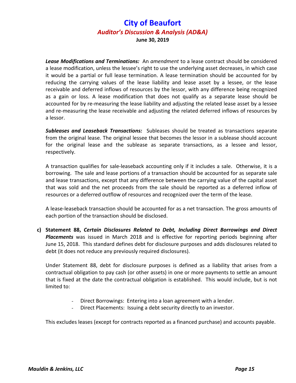*Lease Modifications and Terminations:* An *amendment* to a lease contract should be considered a lease modification, unless the lessee's right to use the underlying asset decreases, in which case it would be a partial or full lease termination. A lease termination should be accounted for by reducing the carrying values of the lease liability and lease asset by a lessee, or the lease receivable and deferred inflows of resources by the lessor, with any difference being recognized as a gain or loss. A lease modification that does not qualify as a separate lease should be accounted for by re-measuring the lease liability and adjusting the related lease asset by a lessee and re-measuring the lease receivable and adjusting the related deferred inflows of resources by a lessor.

*Subleases and Leaseback Transactions:* Subleases should be treated as transactions separate from the original lease. The original lessee that becomes the lessor in a sublease should account for the original lease and the sublease as separate transactions, as a lessee and lessor, respectively.

A transaction qualifies for sale-leaseback accounting only if it includes a sale. Otherwise, it is a borrowing. The sale and lease portions of a transaction should be accounted for as separate sale and lease transactions, except that any difference between the carrying value of the capital asset that was sold and the net proceeds from the sale should be reported as a deferred inflow of resources or a deferred outflow of resources and recognized over the term of the lease.

A lease-leaseback transaction should be accounted for as a net transaction. The gross amounts of each portion of the transaction should be disclosed.

**c) Statement 88,** *Certain Disclosures Related to Debt, Including Direct Borrowings and Direct Placements* was issued in March 2018 and is effective for reporting periods beginning after June 15, 2018. This standard defines debt for disclosure purposes and adds disclosures related to debt (it does not reduce any previously required disclosures).

Under Statement 88, debt for disclosure purposes is defined as a liability that arises from a contractual obligation to pay cash (or other assets) in one or more payments to settle an amount that is fixed at the date the contractual obligation is established. This would include, but is not limited to:

- Direct Borrowings: Entering into a loan agreement with a lender.
- Direct Placements: Issuing a debt security directly to an investor.

This excludes leases (except for contracts reported as a financed purchase) and accounts payable.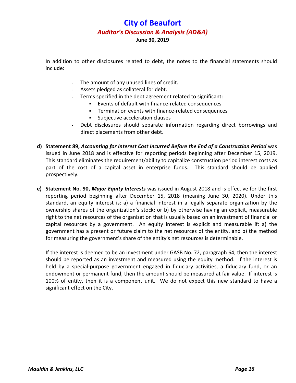In addition to other disclosures related to debt, the notes to the financial statements should include:

- The amount of any unused lines of credit.
- Assets pledged as collateral for debt.
- Terms specified in the debt agreement related to significant:
	- Events of default with finance-related consequences
	- Termination events with finance-related consequences
	- Subjective acceleration clauses
- Debt disclosures should separate information regarding direct borrowings and direct placements from other debt.
- **d) Statement 89,** *Accounting for Interest Cost Incurred Before the End of a Construction Period* was issued in June 2018 and is effective for reporting periods beginning after December 15, 2019. This standard eliminates the requirement/ability to capitalize construction period interest costs as part of the cost of a capital asset in enterprise funds. This standard should be applied prospectively.
- **e) Statement No. 90,** *Major Equity Interests* was issued in August 2018 and is effective for the first reporting period beginning after December 15, 2018 (meaning June 30, 2020). Under this standard, an equity interest is: a) a financial interest in a legally separate organization by the ownership shares of the organization's stock; or b) by otherwise having an explicit, measurable right to the net resources of the organization that is usually based on an investment of financial or capital resources by a government. An equity interest is explicit and measurable if: a) the government has a present or future claim to the net resources of the entity, and b) the method for measuring the government's share of the entity's net resources is determinable.

If the interest is deemed to be an investment under GASB No. 72, paragraph 64, then the interest should be reported as an investment and measured using the equity method. If the interest is held by a special-purpose government engaged in fiduciary activities, a fiduciary fund, or an endowment or permanent fund, then the amount should be measured at fair value. If interest is 100% of entity, then it is a component unit. We do not expect this new standard to have a significant effect on the City.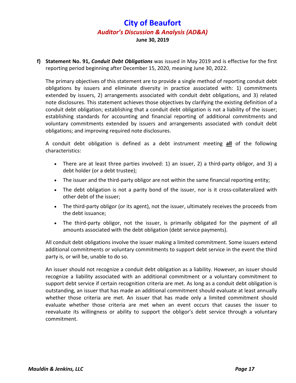**f) Statement No. 91,** *Conduit Debt Obligations* was issued in May 2019 and is effective for the first reporting period beginning after December 15, 2020, meaning June 30, 2022.

The primary objectives of this statement are to provide a single method of reporting conduit debt obligations by issuers and eliminate diversity in practice associated with: 1) commitments extended by issuers, 2) arrangements associated with conduit debt obligations, and 3) related note disclosures. This statement achieves those objectives by clarifying the existing definition of a conduit debt obligation; establishing that a conduit debt obligation is not a liability of the issuer; establishing standards for accounting and financial reporting of additional commitments and voluntary commitments extended by issuers and arrangements associated with conduit debt obligations; and improving required note disclosures.

A conduit debt obligation is defined as a debt instrument meeting **all** of the following characteristics:

- There are at least three parties involved: 1) an issuer, 2) a third-party obligor, and 3) a debt holder (or a debt trustee);
- The issuer and the third-party obligor are not within the same financial reporting entity;
- The debt obligation is not a parity bond of the issuer, nor is it cross-collateralized with other debt of the issuer;
- The third-party obligor (or its agent), not the issuer, ultimately receives the proceeds from the debt issuance;
- The third-party obligor, not the issuer, is primarily obligated for the payment of all amounts associated with the debt obligation (debt service payments).

All conduit debt obligations involve the issuer making a limited commitment. Some issuers extend additional commitments or voluntary commitments to support debt service in the event the third party is, or will be, unable to do so.

An issuer should not recognize a conduit debt obligation as a liability. However, an issuer should recognize a liability associated with an additional commitment or a voluntary commitment to support debt service if certain recognition criteria are met. As long as a conduit debt obligation is outstanding, an issuer that has made an additional commitment should evaluate at least annually whether those criteria are met. An issuer that has made only a limited commitment should evaluate whether those criteria are met when an event occurs that causes the issuer to reevaluate its willingness or ability to support the obligor's debt service through a voluntary commitment.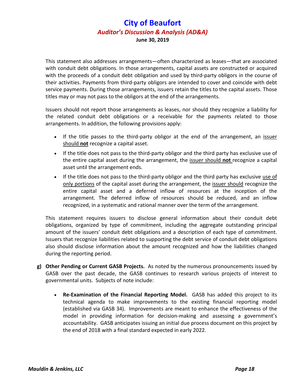This statement also addresses arrangements—often characterized as leases—that are associated with conduit debt obligations. In those arrangements, capital assets are constructed or acquired with the proceeds of a conduit debt obligation and used by third-party obligors in the course of their activities. Payments from third-party obligors are intended to cover and coincide with debt service payments. During those arrangements, issuers retain the titles to the capital assets. Those titles may or may not pass to the obligors at the end of the arrangements.

Issuers should not report those arrangements as leases, nor should they recognize a liability for the related conduit debt obligations or a receivable for the payments related to those arrangements. In addition, the following provisions apply:

- If the title passes to the third-party obligor at the end of the arrangement, an issuer should **not** recognize a capital asset.
- If the title does not pass to the third-party obligor and the third party has exclusive use of the entire capital asset during the arrangement, the issuer should **not** recognize a capital asset until the arrangement ends.
- If the title does not pass to the third-party obligor and the third party has exclusive use of only portions of the capital asset during the arrangement, the issuer should recognize the entire capital asset and a deferred inflow of resources at the inception of the arrangement. The deferred inflow of resources should be reduced, and an inflow recognized, in a systematic and rational manner over the term of the arrangement.

This statement requires issuers to disclose general information about their conduit debt obligations, organized by type of commitment, including the aggregate outstanding principal amount of the issuers' conduit debt obligations and a description of each type of commitment. Issuers that recognize liabilities related to supporting the debt service of conduit debt obligations also should disclose information about the amount recognized and how the liabilities changed during the reporting period.

- **g) Other Pending or Current GASB Projects.** As noted by the numerous pronouncements issued by GASB over the past decade, the GASB continues to research various projects of interest to governmental units. Subjects of note include:
	- **Re-Examination of the Financial Reporting Model.** GASB has added this project to its technical agenda to make improvements to the existing financial reporting model (established via GASB 34). Improvements are meant to enhance the effectiveness of the model in providing information for decision-making and assessing a government's accountability. GASB anticipates issuing an initial due process document on this project by the end of 2018 with a final standard expected in early 2022.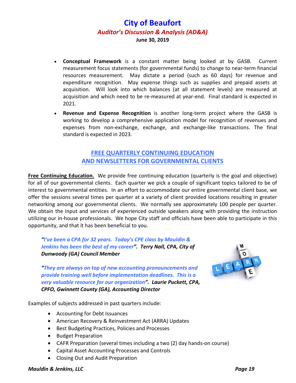- **Conceptual Framework** is a constant matter being looked at by GASB. Current measurement focus statements (for governmental funds) to change to near-term financial resources measurement. May dictate a period (such as 60 days) for revenue and expenditure recognition. May expense things such as supplies and prepaid assets at acquisition. Will look into which balances (at all statement levels) are measured at acquisition and which need to be re-measured at year-end. Final standard is expected in 2021.
- **Revenue and Expense Recognition** is another long-term project where the GASB is working to develop a comprehensive application model for recognition of revenues and expenses from non-exchange, exchange, and exchange-like transactions. The final standard is expected in 2023.

## **FREE QUARTERLY CONTINUING EDUCATION AND NEWSLETTERS FOR GOVERNMENTAL CLIENTS**

**Free Continuing Education.** We provide free continuing education (quarterly is the goal and objective) for all of our governmental clients. Each quarter we pick a couple of significant topics tailored to be of interest to governmental entities. In an effort to accommodate our entire governmental client base, we offer the sessions several times per quarter at a variety of client provided locations resulting in greater networking among our governmental clients. We normally see approximately 100 people per quarter. We obtain the input and services of experienced outside speakers along with providing the instruction utilizing our in-house professionals. We hope City staff and officials have been able to participate in this opportunity, and that it has been beneficial to you.

*"I've been a CPA for 32 years. Today's CPE class by Mauldin & Jenkins has been the best of my career". Terry Nall, CPA, City of Dunwoody (GA) Council Member*

*"They are always on top of new accounting pronouncements and provide training well before implementation deadlines. This is a very valuable resource for our organization". Laurie Puckett, CPA, CPFO, Gwinnett County (GA), Accounting Director*



Examples of subjects addressed in past quarters include:

- Accounting for Debt Issuances
- American Recovery & Reinvestment Act (ARRA) Updates
- Best Budgeting Practices, Policies and Processes
- Budget Preparation
- CAFR Preparation (several times including a two (2) day hands-on course)
- Capital Asset Accounting Processes and Controls
- Closing Out and Audit Preparation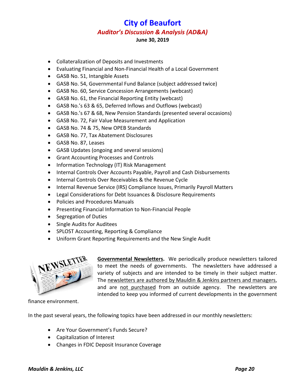- Collateralization of Deposits and Investments
- Evaluating Financial and Non-Financial Health of a Local Government
- GASB No. 51, Intangible Assets
- GASB No. 54, Governmental Fund Balance (subject addressed twice)
- GASB No. 60, Service Concession Arrangements (webcast)
- GASB No. 61, the Financial Reporting Entity (webcast)
- GASB No.'s 63 & 65, Deferred Inflows and Outflows (webcast)
- GASB No.'s 67 & 68, New Pension Standards (presented several occasions)
- GASB No. 72, Fair Value Measurement and Application
- GASB No. 74 & 75, New OPEB Standards
- GASB No. 77, Tax Abatement Disclosures
- GASB No. 87, Leases
- GASB Updates (ongoing and several sessions)
- Grant Accounting Processes and Controls
- Information Technology (IT) Risk Management
- Internal Controls Over Accounts Payable, Payroll and Cash Disbursements
- Internal Controls Over Receivables & the Revenue Cycle
- Internal Revenue Service (IRS) Compliance Issues, Primarily Payroll Matters
- Legal Considerations for Debt Issuances & Disclosure Requirements
- Policies and Procedures Manuals
- Presenting Financial Information to Non-Financial People
- Segregation of Duties
- Single Audits for Auditees
- SPLOST Accounting, Reporting & Compliance
- Uniform Grant Reporting Requirements and the New Single Audit



**Governmental Newsletters.** We periodically produce newsletters tailored to meet the needs of governments. The newsletters have addressed a variety of subjects and are intended to be timely in their subject matter. The newsletters are authored by Mauldin & Jenkins partners and managers, and are not purchased from an outside agency. The newsletters are intended to keep you informed of current developments in the government

finance environment.

In the past several years, the following topics have been addressed in our monthly newsletters:

- Are Your Government's Funds Secure?
- Capitalization of Interest
- Changes in FDIC Deposit Insurance Coverage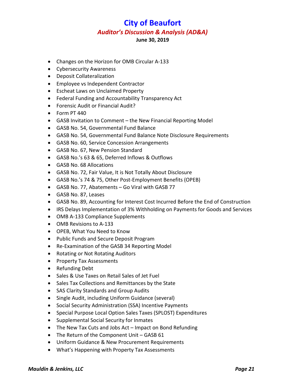- Changes on the Horizon for OMB Circular A-133
- Cybersecurity Awareness
- Deposit Collateralization
- Employee vs Independent Contractor
- Escheat Laws on Unclaimed Property
- Federal Funding and Accountability Transparency Act
- Forensic Audit or Financial Audit?
- Form PT 440
- GASB Invitation to Comment the New Financial Reporting Model
- GASB No. 54, Governmental Fund Balance
- GASB No. 54, Governmental Fund Balance Note Disclosure Requirements
- GASB No. 60, Service Concession Arrangements
- GASB No. 67, New Pension Standard
- GASB No.'s 63 & 65, Deferred Inflows & Outflows
- GASB No. 68 Allocations
- GASB No. 72, Fair Value, It is Not Totally About Disclosure
- GASB No.'s 74 & 75, Other Post-Employment Benefits (OPEB)
- GASB No. 77, Abatements Go Viral with GASB 77
- GASB No. 87, Leases
- GASB No. 89, Accounting for Interest Cost Incurred Before the End of Construction
- IRS Delays Implementation of 3% Withholding on Payments for Goods and Services
- OMB A-133 Compliance Supplements
- OMB Revisions to A-133
- OPEB, What You Need to Know
- Public Funds and Secure Deposit Program
- Re-Examination of the GASB 34 Reporting Model
- Rotating or Not Rotating Auditors
- Property Tax Assessments
- Refunding Debt
- Sales & Use Taxes on Retail Sales of Jet Fuel
- Sales Tax Collections and Remittances by the State
- SAS Clarity Standards and Group Audits
- Single Audit, including Uniform Guidance (several)
- Social Security Administration (SSA) Incentive Payments
- Special Purpose Local Option Sales Taxes (SPLOST) Expenditures
- Supplemental Social Security for Inmates
- The New Tax Cuts and Jobs Act Impact on Bond Refunding
- The Return of the Component Unit GASB 61
- Uniform Guidance & New Procurement Requirements
- What's Happening with Property Tax Assessments